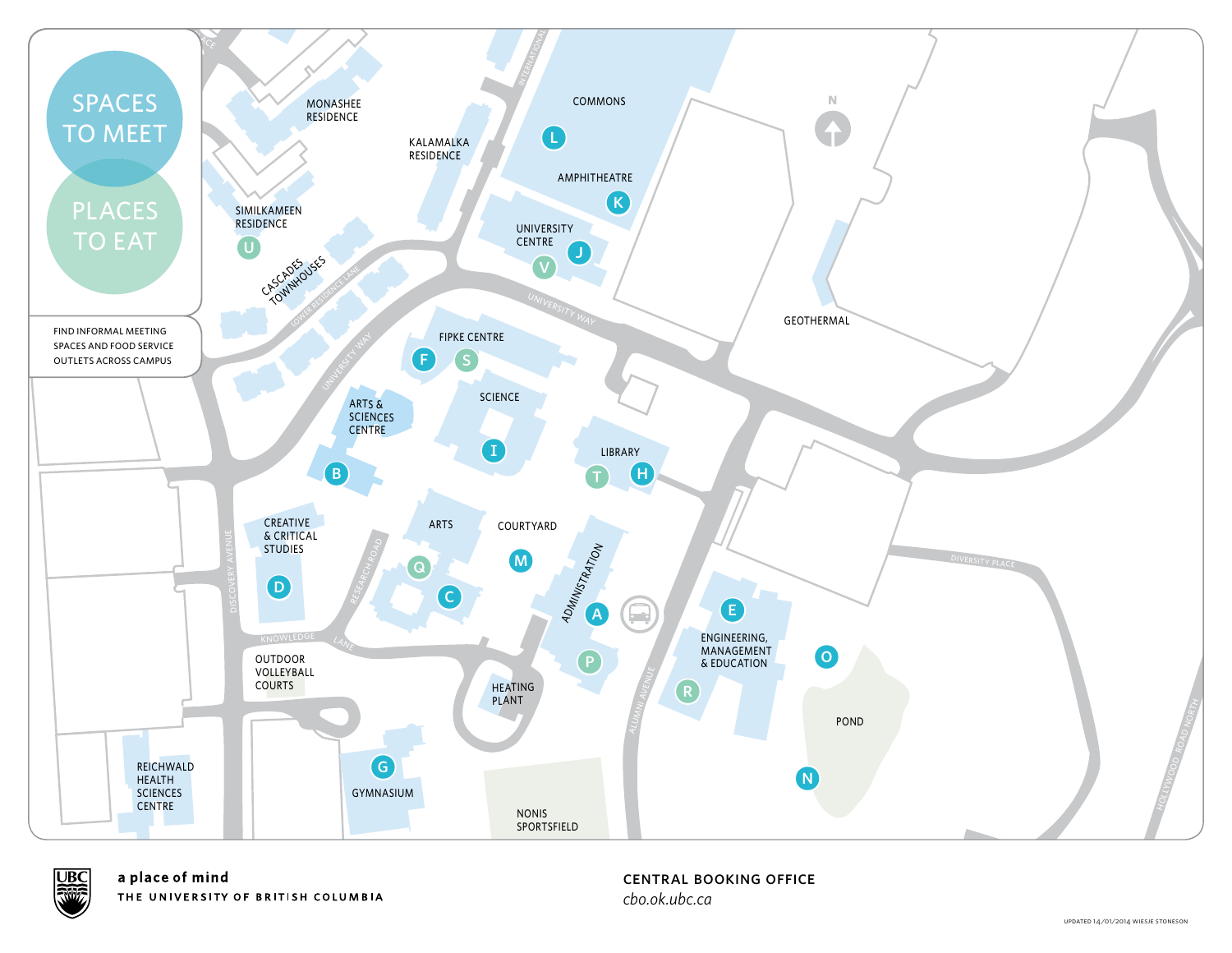



central booking office *cbo.ok.ubc.ca*